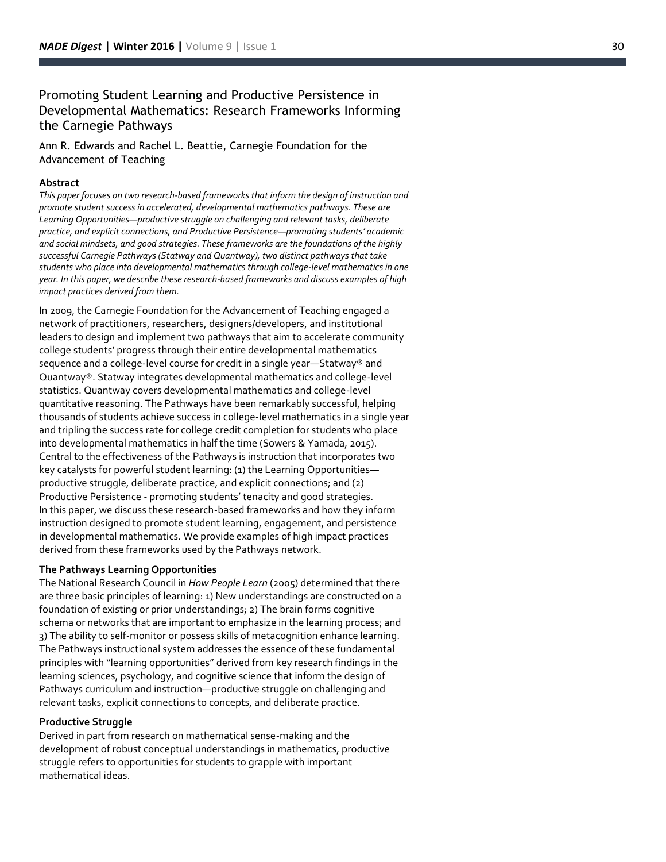# Promoting Student Learning and Productive Persistence in Developmental Mathematics: Research Frameworks Informing the Carnegie Pathways

Ann R. Edwards and Rachel L. Beattie, Carnegie Foundation for the Advancement of Teaching

# **Abstract**

*This paper focuses on two research -based frameworks that inform the design of instruction and promote student success in accelerated, developmental mathematics pathways. These are Learning Opportunities —productive struggle on challenging and relevant tasks, deliberate practice, and explicit connections, and Productive Persistence —promoting students' academic and social mindsets, and good strategies. These frameworks are the foundations of the highly successful Carnegie Pathways (Statway and Quantway), two distinct pathways that take students who place into developmental mathematics through college -level mathematics in one year. In this paper, we describe these research -based frameworks and discuss examples of high impact practices derived from them.*

In 2009 , the Carnegie Foundation for the Advancement of Teaching engaged a network of practitioners, researchers, designers/developers, and institutional leaders to design and implement two pathways that aim to accelerate community college students' progress through their entire developmental mathematics sequence and a college-level course for credit in a single year—Statway® and Quantway®. Statway integrates developmental mathematics and college -level statistics. Quantway covers developmental mathematics and college -level quantitative reasoning. The Pathways have been remarkably successful, helping thousands of students achieve success in college -level mathematics in a single year and tripling the success rate for college credit completion for students who place into developmental mathematics in half the time (Sowers & Yamada, 2015). Central to the effectiveness of the Pathways is instruction that incorporates two key catalysts for powerful student learning: (1) the Learning Opportunitie s productive struggle, deliberate practice, and explicit connections; and (2) Productive Persistence - promoting students' tenacity and good strategies. In this paper, we discuss these research -based frameworks and how they inform instruction designed to promote student learning, engagement, and persistence in developmental mathematics. We provide examples of high impact practices derived from these frameworks used by the Pathways network.

#### **The Pathways Learning Opportunities**

The National Research Council in *How People Learn* (2005) determined that there are three basic principles of learning: 1) New understandings are constructed on a foundation of existing or prior understandings; 2) The brain forms cognitive schema or networks that are important to emphasize in the learning process; and 3) The ability to self -monitor or possess skills of metacognition enhance learning. The Pathways instructional system addresses the essence of these fundamental principles with "learning opportunities" derived from key research findings in the learning sciences, psychology, and cognitive science that inform the design of Pathways curriculum and instruction —productive struggle on challenging and relevant tasks, explicit connections to concepts, and deliberate practice.

## **Productive Struggle**

Derived in part from research on mathematical sense -making and the development of robust conceptual understandings in mathematics, productive struggle refers to opportunities for students to grapple with important mathematical ideas.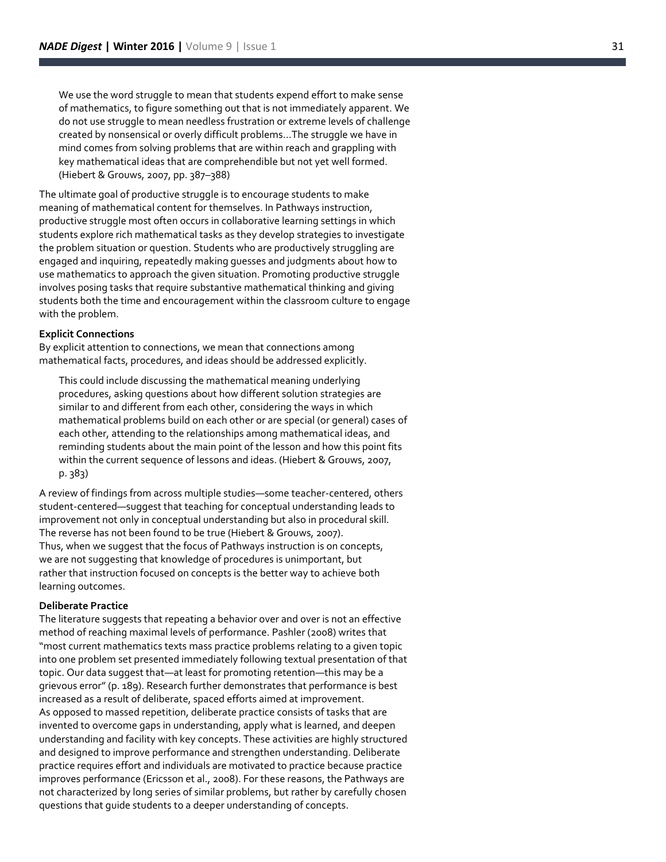We use the word struggle to mean that students expend effort to make sense of mathematics, to figure something out that is not immediately apparent. We do not use struggle to mean needless frustration or extreme levels of challenge created by nonsensical or overly difficult problems...The struggle we have in mind comes from solving problems that are within reach and grappling with key mathematical ideas that are comprehendible but not yet well formed. (Hiebert & Grouws, 2007, pp. 387–388)

The ultimate goal of productive struggle is to encourage students to make meaning of mathematical content for themselves. In Pathways instruction, productive struggle most often occurs in collaborative learning settings in which students explore rich mathematical tasks as they develop strategies to investigate the problem situation or question. Students who are productively struggling are engaged and inquiring, repeatedly making guesses and judgments about how to use mathematics to approach the given situation. Promoting productive struggle involves posing tasks that require substantive mathematical thinking and giving students both the time and encouragement within the classroom culture to engage with the problem.

## **Explicit Connections**

By explicit attention to connections, we mean that connections among mathematical facts, procedures, and ideas should be addressed explicitly.

This could include discussing the mathematical meaning underlying procedures, asking questions about how different solution strategies are similar to and different from each other, considering the ways in which mathematical problems build on each other or are special (or general) cases of each other, attending to the relationships among mathematical ideas, and reminding students about the main point of the lesson and how this point fits within the current sequence of lessons and ideas. (Hiebert & Grouws, 2007, p. 383)

A review of findings from across multiple studies —some teacher -centered, others student -centered —suggest that teaching for conceptual understanding leads to improvement not only in conceptual understanding but also in procedural skill. The reverse has not been found to be true (Hiebert & Grouws, 2007). Thus, when we suggest that the focus of Pathways instruction is on concepts, we are not suggesting that knowledge of procedures is unimportant, but rather that instruction focused on concepts is the better way to achieve both learning outcomes.

#### **Deliberate Practice**

The literature suggests that repeating a behavior over and over is not an effective method of reaching maximal levels of performance. Pashler (2008) writes that "most current mathematics texts mass practice problems relating to a given topic into one problem set presented immediately following textual presentation of that topic. Our data suggest that—at least for promoting retention—this may be a grievous error" (p. 189). Research further demonstrates that performance is best increased as a result of deliberate, spaced efforts aimed at improvement. As opposed to massed repetition, deliberate practice consists of tasks that are invented to overcome gaps in understanding, apply what is learned, and deepen understanding and facility with key concepts. These activities are highly structured and designed to improve performance and strengthen understanding. Deliberate practice requires effort and individuals are motivated to practice because practice improves performance (Ericsson et al., 2008). For these reasons, the Pathways are not characterized by long series of similar problems, but rather by carefully chosen questions that guide students to a deeper understanding of concepts.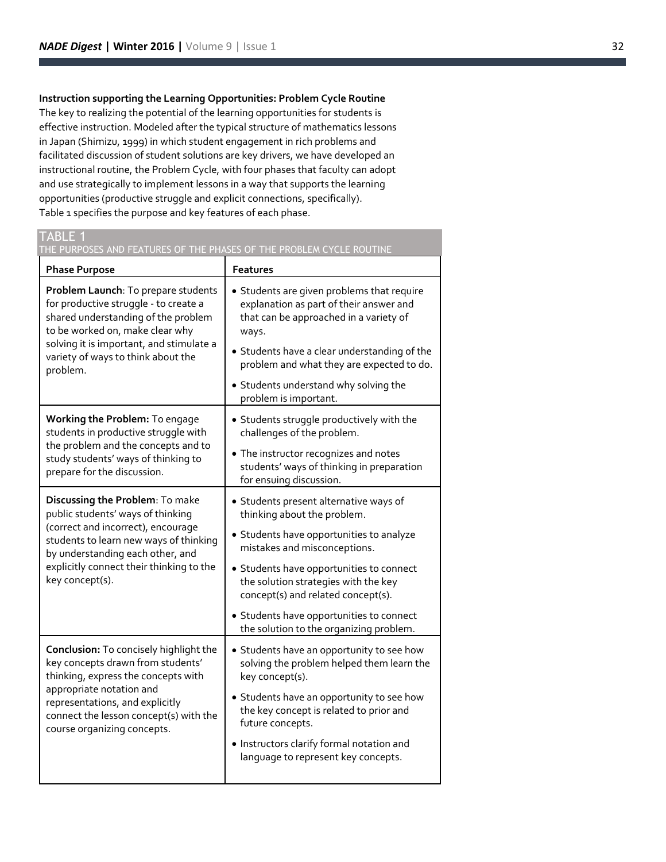**Instruction supporting the Learning Opportunities: Problem Cycle Routine** The key to realizing the potential of the learning opportunities for students is effective instruction. Modeled after the typical structure of mathematics lessons in Japan (Shimizu, 1999) in which student engagement in rich problems and facilitated discussion of student solutions are key drivers, we have developed an instructional routine, the Problem Cycle, with four phases that faculty can adopt and use strategically to implement lessons in a way that supports the learning opportunities (productive struggle and explicit connections, specifically). Table 1 specifies the purpose and key features of each phase.

# TABLE 1

THE PURPOSES AND FEATURES OF THE PHASES OF THE PROBLEM CYCLE ROUTINE

| <b>Phase Purpose</b>                                                                                                                                                                                                                                       | <b>Features</b>                                                                                                                                                                                                                                                                                                                                                    |
|------------------------------------------------------------------------------------------------------------------------------------------------------------------------------------------------------------------------------------------------------------|--------------------------------------------------------------------------------------------------------------------------------------------------------------------------------------------------------------------------------------------------------------------------------------------------------------------------------------------------------------------|
| Problem Launch: To prepare students<br>for productive struggle - to create a<br>shared understanding of the problem<br>to be worked on, make clear why<br>solving it is important, and stimulate a<br>variety of ways to think about the<br>problem.       | • Students are given problems that require<br>explanation as part of their answer and<br>that can be approached in a variety of<br>ways.<br>• Students have a clear understanding of the<br>problem and what they are expected to do.<br>• Students understand why solving the<br>problem is important.                                                            |
| Working the Problem: To engage<br>students in productive struggle with<br>the problem and the concepts and to<br>study students' ways of thinking to<br>prepare for the discussion.                                                                        | • Students struggle productively with the<br>challenges of the problem.<br>• The instructor recognizes and notes<br>students' ways of thinking in preparation<br>for ensuing discussion.                                                                                                                                                                           |
| Discussing the Problem: To make<br>public students' ways of thinking<br>(correct and incorrect), encourage<br>students to learn new ways of thinking<br>by understanding each other, and<br>explicitly connect their thinking to the<br>key concept(s).    | • Students present alternative ways of<br>thinking about the problem.<br>• Students have opportunities to analyze<br>mistakes and misconceptions.<br>• Students have opportunities to connect<br>the solution strategies with the key<br>concept(s) and related concept(s).<br>• Students have opportunities to connect<br>the solution to the organizing problem. |
| Conclusion: To concisely highlight the<br>key concepts drawn from students'<br>thinking, express the concepts with<br>appropriate notation and<br>representations, and explicitly<br>connect the lesson concept(s) with the<br>course organizing concepts. | • Students have an opportunity to see how<br>solving the problem helped them learn the<br>key concept(s).<br>• Students have an opportunity to see how<br>the key concept is related to prior and<br>future concepts.<br>. Instructors clarify formal notation and<br>language to represent key concepts.                                                          |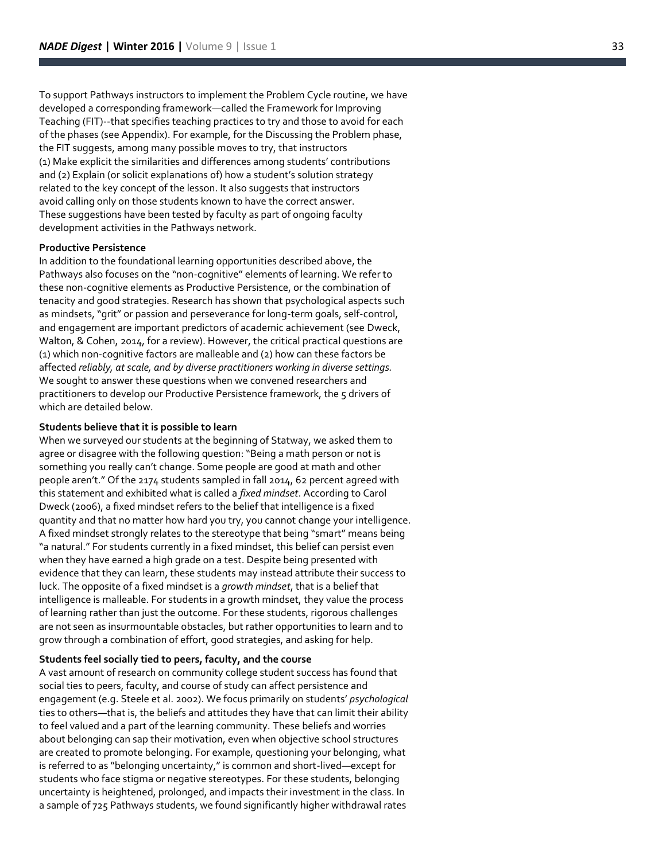To support Pathways instructors to implement the Problem Cycle routine, we have developed a corresponding framework —called the Framework for Improving Teaching (FIT)--that specifies teaching practices to try and those to avoid for each of the phases (see Appendix). For example, for the Discussing the Problem phase, the FIT suggests, among many possible moves to try, that instructors (1) Make explicit the similarities and differences among students' contributions and (2) Explain (or solicit explanations of) how a student's solution strategy related to the key concept of the lesson. It also suggests that instructors avoid calling only on those students known to have the correct answer. These suggestions have been tested by faculty as part of ongoing faculty development activities in the Pathways network.

#### **Productive Persistence**

In addition to the foundational learning opportunities described above, the Pathways also focuses on the "non -cognitive" elements of learning. We refer to these non -cognitive elements as Productive Persistence, or the combination of tenacity and good strategies. Research has shown that psychological aspects such as mindsets, "grit" or passion and perseverance for long -term goals, self -control, and engagement are important predictors of academic achievement (see Dweck, Walton, & Cohen, 2014, for a review). However, the critical practical questions are (1) which non -cognitive factors are malleable and (2) how can these factors be affected *reliably, at scale, and by diverse practitioners working in diverse settings.*  We sought to answer these questions when we convened researchers and practitioners to develop our Productive Persistence framework, the 5 drivers of which are detailed below.

#### **Students believe that it is possible to learn**

When we surveyed our students at the beginning of Statway, we asked them to agree or disagree with the following question: "Being a math person or not is something you really can't change. Some people are good at math and other people aren't." Of the 2174 students sampled in fall 2014, 62 percent agreed with this statement and exhibited what is called a *fixed mindset*. According to Carol Dweck (2006), a fixed mindset refers to the belief that intelligence is a fixed quantity and that no matter how hard you try, you cannot change your intelligence. A fixed mindset strongly relates to the stereotype that being "smart" means being "a natural." For students currently in a fixed mindset, this belief can persist even when they have earned a high grade on a test. Despite being presented with evidence that they can learn, these students may instead attribute their success to luck. The opposite of a fixed mindset is a *growth mindset*, that is a belief that intelligence is malleable. For students in a growth mindset, they value the process of learning rather than just the outcome. For these students, rigorous challenges are not seen as insurmountable obstacles, but rather opportunities to learn and to grow through a combination of effort, good strategies, and asking for help.

#### **Students feel socially tied to peers, faculty, and the course**

A vast amount of research on community college student success has found that social ties to peers, faculty, and course of study can affect persistence and engagement (e.g. Steele et al. 2002). We focus primarily on students' *psychological* ties to others —that is, the beliefs and attitudes they have that can limit their ability to feel valued and a part of the learning community. These beliefs and worries about belonging can sap their motivation, even when objective school structures are created to promote belonging. For example, questioning your belonging, what is referred to as "belonging uncertainty," is common and short -lived —except for students who face stigma or negative stereotypes. For these students, belonging uncertainty is heightened, prolonged, and impacts their investment in the class. In a sample of 725 Pathways students, we found significantly higher withdrawal rates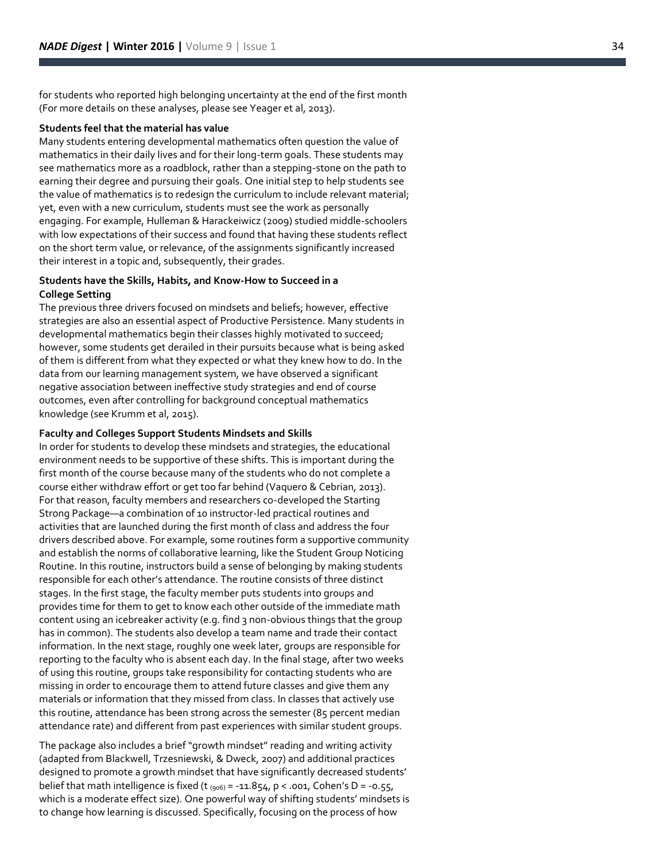for students who reported high belonging uncertainty at the end of the first month (For more details on these analyses, please see Yeager et al, 2013).

#### **Students feel that the material has value**

Many students entering developmental mathematics often question the value of mathematics in their daily lives and for their long -term goals. These students may see mathematics more as a roadblock, rather than a stepping -stone on the path to earning their degree and pursuing their goals. One initial step to help students see the value of mathematics is to redesign the curriculum to include relevant material; yet, even with a new curriculum, students must see the work as personally engaging. For example, Hulleman & Harackeiwicz (2009) studied middle -schoolers with low expectations of their success and found that having these students reflect on the short term value, or relevance, of the assignments significantly increased their interest in a topic and, subsequently, their grades.

### **Students have the Skills, Habits, and Know -How to Succeed in a College Setting**

The previous three drivers focused on mindsets and beliefs; however, effective strategies are also an essential aspect of Productive Persistence. Many students in developmental mathematics begin their classes highly motivated to succeed; however, some students get derailed in their pursuits because what is being asked of them is different from what they expected or what they knew how to do. In the data from our learning management system, we have observed a significant negative association between ineffective study strategies and end of course outcomes, even after controlling for background conceptual mathematics knowledge (see Krumm et al, 2015).

## **Faculty and Colleges Support Students Mindsets and Skills**

In order for students to develop these mindsets and strategies, the educational environment needs to be supportive of these shifts. This is important during the first month of the course because many of the students who do not complete a course either withdraw effort or get too far behind (Vaquero & Cebrian, 2013). For that reason, faculty members and researchers co -developed the Starting Strong Package —a combination of 10 instructor -led practical routines and activities that are launched during the first month of class and address the four drivers described above. For example, some routines form a supportive community and establish the norms of collaborative learning, like the Student Group Noticing Routine. In this routine, instructors build a sense of belonging by making students responsible for each other's attendance. The routine consists of three distinct stages. In the first stage, the faculty member puts students into groups and provides time for them to get to know each other outside of the immediate math content using an icebreaker activity (e.g. find 3 non -obvious things that the group has in common). The students also develop a team name and trade their contact information. In the next stage, roughly one week later, groups are responsible for reporting to the faculty who is absent each day. In the final stage, after two weeks of using this routine, groups take responsibility for contacting students who are missing in order to encourage them to attend future classes and give them any materials or information that they missed from class. In classes that actively use this routine, attendance has been strong across the semester (85 percent median attendance rate) and different from past experiences with similar student groups.

The package also includes a brief "growth mindset" reading and writing activity (adapted from Blackwell, Trzesniewski, & Dweck, 2007) and additional practices designed to promote a growth mindset that have significantly decreased students' belief that math intelligence is fixed (t  $_{(906)}$  = -11.854, p < .001, Cohen's D = -0.55, which is a moderate effect size). One powerful way of shifting students' mindsets is to change how learning is discussed. Specifically, focusing on the process of how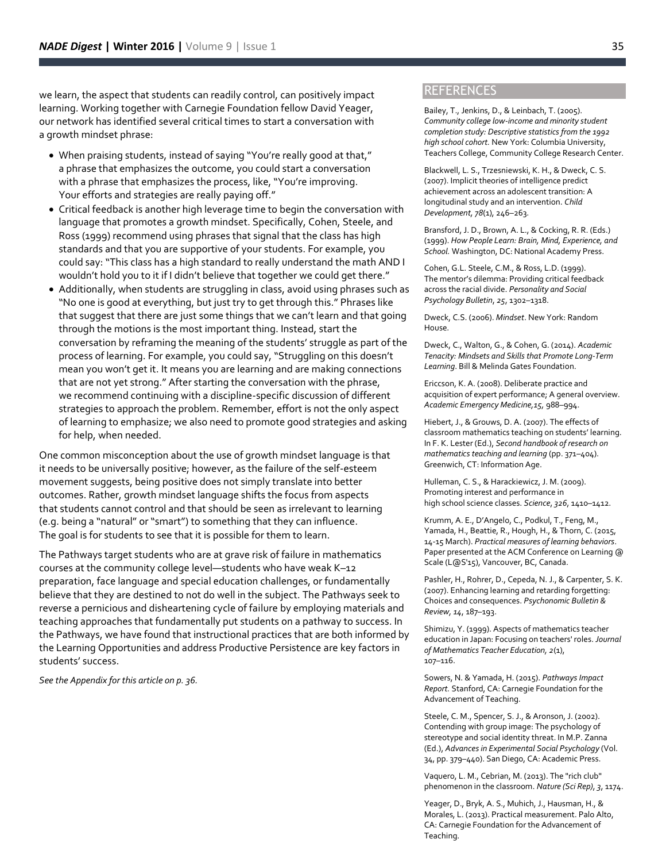we learn, the aspect that students can readily control, can positively impact learning. Working together with Carnegie Foundation fellow David Yeager, our network has identified several critical times to start a conversation with a growth mindset phrase:

- When praising students, instead of saying "You're really good at that," a phrase that emphasizes the outcome, you could start a conversation with a phrase that emphasizes the process, like, "You're improving. Your efforts and strategies are really paying off."
- Critical feedback is another high leverage time to begin the conversation with language that promotes a growth mindset. Specifically, Cohen, Steele, and Ross (1999) recommend using phrases that signal that the class has high standards and that you are supportive of your students. For example, you could say: "This class has a high standard to really understand the math AND I wouldn't hold you to it if I didn't believe that together we could get there."
- Additionally, when students are struggling in class, avoid using phrases such as "No one is good at everything, but just try to get through this." Phrases like that suggest that there are just some things that we can't learn and that going through the motions is the most important thing. Instead, start the conversation by reframing the meaning of the students' struggle as part of the process of learning. For example, you could say, "Struggling on this doesn't mean you won't get it. It means you are learning and are making connections that are not yet strong." After starting the conversation with the phrase, we recommend continuing with a discipline-specific discussion of different strategies to approach the problem. Remember, effort is not the only aspect of learning to emphasize; we also need to promote good strategies and asking for help, when needed.

One common misconception about the use of growth mindset language is that it needs to be universally positive; however, as the failure of the self-esteem movement suggests, being positive does not simply translate into better outcomes. Rather, growth mindset language shifts the focus from aspects that students cannot control and that should be seen as irrelevant to learning (e.g. being a "natural" or "smart") to something that they can influence. The goal is for students to see that it is possible for them to learn.

The Pathways target students who are at grave risk of failure in mathematics courses at the community college level—students who have weak K–12 preparation, face language and special education challenges, or fundamentally believe that they are destined to not do well in the subject. The Pathways seek to reverse a pernicious and disheartening cycle of failure by employing materials and teaching approaches that fundamentally put students on a pathway to success. In the Pathways, we have found that instructional practices that are both informed by the Learning Opportunities and address Productive Persistence are key factors in students' success.

*See the Appendix for this article on p. 36.*

# **REFERENCES**

Bailey, T., Jenkins, D., & Leinbach, T. (2005). *Community college low-income and minority student completion study: Descriptive statistics from the 1992 high school cohort.* New York: Columbia University, Teachers College, Community College Research Center.

Blackwell, L. S., Trzesniewski, K. H., & Dweck, C. S. (2007). Implicit theories of intelligence predict achievement across an adolescent transition: A longitudinal study and an intervention. *Child Development, 78*(1), 246–263.

Bransford, J. D., Brown, A. L., & Cocking, R. R. (Eds.) (1999). *How People Learn: Brain, Mind, Experience, and School.* Washington, DC: National Academy Press.

Cohen, G.L. Steele, C.M., & Ross, L.D. (1999). The mentor's dilemma: Providing critical feedback across the racial divide. *Personality and Social Psychology Bulletin*, *25*, 1302–1318.

Dweck, C.S. (2006). *Mindset*. New York: Random House.

Dweck, C., Walton, G., & Cohen, G. (2014). *Academic Tenacity: Mindsets and Skills that Promote Long-Term Learning*. Bill & Melinda Gates Foundation.

Ericcson, K. A. (2008). Deliberate practice and acquisition of expert performance; A general overview. *Academic Emergency Medicine,15,* 988–994.

Hiebert, J., & Grouws, D. A. (2007). The effects of classroom mathematics teaching on students' learning. In F. K. Lester (Ed.), *Second handbook of research on mathematics teaching and learning* (pp. 371–404). Greenwich, CT: Information Age.

Hulleman, C. S., & Harackiewicz, J. M. (2009). Promoting interest and performance in high school science classes. *Science*, *326*, 1410–1412.

Krumm, A. E., D'Angelo, C., Podkul, T., Feng, M., Yamada, H., Beattie, R., Hough, H., & Thorn, C. (2015, 14-15 March). *Practical measures of learning behaviors*. Paper presented at the ACM Conference on Learning @ Scale (L@S'15), Vancouver, BC, Canada.

Pashler, H., Rohrer, D., Cepeda, N. J., & Carpenter, S. K. (2007). Enhancing learning and retarding forgetting: Choices and consequences. *Psychonomic Bulletin & Review, 14*, 187–193.

Shimizu, Y. (1999). Aspects of mathematics teacher education in Japan: Focusing on teachers' roles. *Journal of Mathematics Teacher Education, 2*(1), 107–116.

Sowers, N. & Yamada, H. (2015). *Pathways Impact Report.* Stanford, CA: Carnegie Foundation for the Advancement of Teaching.

Steele, C. M., Spencer, S. J., & Aronson, J. (2002). Contending with group image: The psychology of stereotype and social identity threat. In M.P. Zanna (Ed.), *Advances in Experimental Social Psychology* (Vol. 34, pp. 379–440). San Diego, CA: Academic Press.

Vaquero, L. M., Cebrian, M. (2013). The "rich club" phenomenon in the classroom. *Nature (Sci Rep)*, *3*, 1174.

Yeager, D., Bryk, A. S., Muhich, J., Hausman, H., & Morales, L. (2013). Practical measurement. Palo Alto, CA: Carnegie Foundation for the Advancement of Teaching.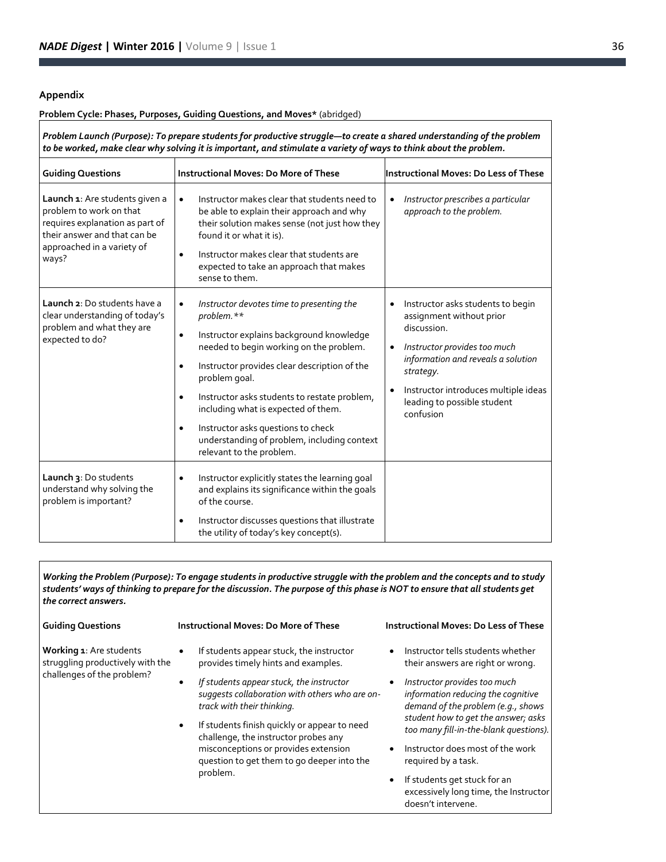# **Appendix**

#### **Problem Cycle: Phases, Purposes, Guiding Questions, and Moves\*** (abridged)

*Problem Launch (Purpose): To prepare students for productive struggle—to create a shared understanding of the problem to be worked, make clear why solving it is important, and stimulate a variety of ways to think about the problem.*

| <b>Guiding Questions</b>                                                                                                                                            | <b>Instructional Moves: Do More of These</b>                                                                                                                                                                                                                                                                                                                                                                                                                                     | Instructional Moves: Do Less of These                                                                                                                                                                                                                                                      |
|---------------------------------------------------------------------------------------------------------------------------------------------------------------------|----------------------------------------------------------------------------------------------------------------------------------------------------------------------------------------------------------------------------------------------------------------------------------------------------------------------------------------------------------------------------------------------------------------------------------------------------------------------------------|--------------------------------------------------------------------------------------------------------------------------------------------------------------------------------------------------------------------------------------------------------------------------------------------|
| Launch 1: Are students given a<br>problem to work on that<br>requires explanation as part of<br>their answer and that can be<br>approached in a variety of<br>ways? | Instructor makes clear that students need to<br>$\bullet$<br>be able to explain their approach and why<br>their solution makes sense (not just how they<br>found it or what it is).<br>Instructor makes clear that students are<br>$\bullet$<br>expected to take an approach that makes<br>sense to them.                                                                                                                                                                        | Instructor prescribes a particular<br>$\bullet$<br>approach to the problem.                                                                                                                                                                                                                |
| Launch 2: Do students have a<br>clear understanding of today's<br>problem and what they are<br>expected to do?                                                      | Instructor devotes time to presenting the<br>$\bullet$<br>problem.**<br>Instructor explains background knowledge<br>٠<br>needed to begin working on the problem.<br>Instructor provides clear description of the<br>$\bullet$<br>problem goal.<br>Instructor asks students to restate problem,<br>$\bullet$<br>including what is expected of them.<br>Instructor asks questions to check<br>$\bullet$<br>understanding of problem, including context<br>relevant to the problem. | Instructor asks students to begin<br>$\bullet$<br>assignment without prior<br>discussion.<br>Instructor provides too much<br>$\bullet$<br>information and reveals a solution<br>strategy.<br>Instructor introduces multiple ideas<br>$\bullet$<br>leading to possible student<br>confusion |
| Launch 3: Do students<br>understand why solving the<br>problem is important?                                                                                        | Instructor explicitly states the learning goal<br>$\bullet$<br>and explains its significance within the goals<br>of the course.<br>Instructor discusses questions that illustrate<br>٠<br>the utility of today's key concept(s).                                                                                                                                                                                                                                                 |                                                                                                                                                                                                                                                                                            |

*Working the Problem (Purpose): To engage students in productive struggle with the problem and the concepts and to study students' ways of thinking to prepare for the discussion. The purpose of this phase is NOT to ensure that all students get the correct answers.*

| <b>Guiding Questions</b>                                                                  | <b>Instructional Moves: Do More of These</b>                                                                             | <b>Instructional Moves: Do Less of These</b>                                                                                                                 |
|-------------------------------------------------------------------------------------------|--------------------------------------------------------------------------------------------------------------------------|--------------------------------------------------------------------------------------------------------------------------------------------------------------|
| Working 1: Are students<br>struggling productively with the<br>challenges of the problem? | If students appear stuck, the instructor<br>provides timely hints and examples.                                          | Instructor tells students whether<br>their answers are right or wrong.                                                                                       |
|                                                                                           | If students appear stuck, the instructor<br>suggests collaboration with others who are on-<br>track with their thinking. | Instructor provides too much<br>$\bullet$<br>information reducing the cognitive<br>demand of the problem (e.g., shows<br>student how to get the answer; asks |
|                                                                                           | If students finish quickly or appear to need<br>challenge, the instructor probes any                                     | too many fill-in-the-blank questions).                                                                                                                       |
|                                                                                           | misconceptions or provides extension<br>question to get them to go deeper into the                                       | Instructor does most of the work<br>$\bullet$<br>required by a task.                                                                                         |
|                                                                                           | problem.                                                                                                                 | If students get stuck for an<br>$\bullet$<br>excessively long time, the Instructor<br>doesn't intervene.                                                     |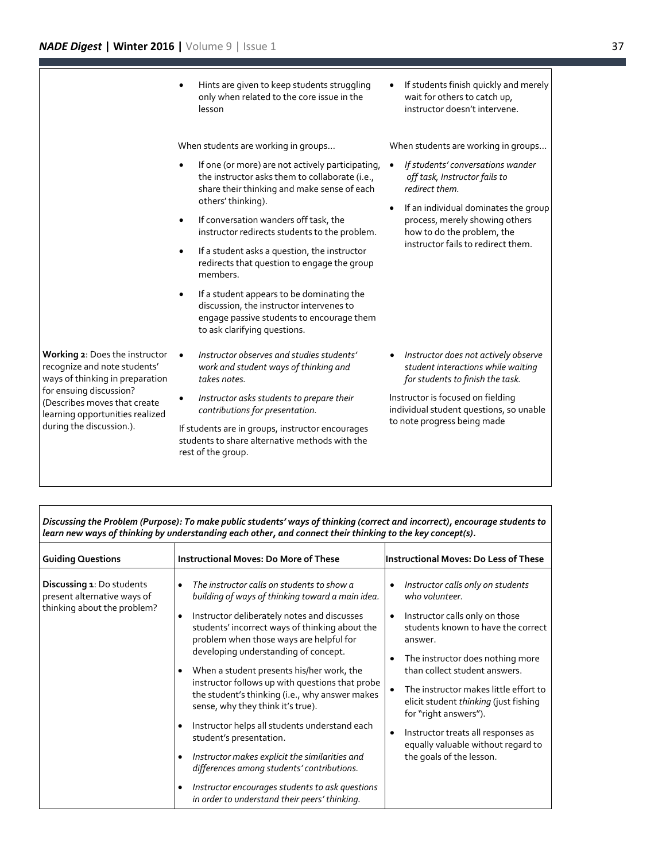Hints are given to keep students struggling only when related to the core issue in the lesson

When students are working in groups...

- If one (or more) are not actively participating, the instructor asks them to collaborate (i.e., share their thinking and make sense of each others' thinking).
- If conversation wanders off task, the instructor redirects students to the problem.
- If a student asks a question, the instructor redirects that question to engage the group members.
- If a student appears to be dominating the discussion, the instructor intervenes to engage passive students to encourage them to ask clarifying questions.

**Working 2**: Does the instructor recognize and note students' ways of thinking in preparation for ensuing discussion? (Describes moves that create learning opportunities realized during the discussion.).

- *Instructor observes and studies students' work and student ways of thinking and takes notes.*
- *Instructor asks students to prepare their contributions for presentation.*

If students are in groups, instructor encourages students to share alternative methods with the rest of the group.

• If students finish quickly and merely wait for others to catch up, instructor doesn't intervene.

When students are working in groups...

- *If students' conversations wander off task, Instructor fails to redirect them.*
- If an individual dominates the group process, merely showing others how to do the problem, the instructor fails to redirect them.

 *Instructor does not actively observe student interactions while waiting for students to finish the task.*

Instructor is focused on fielding individual student questions, so unable to note progress being made

| tearn new ways of thinking by understanding each other, and connect their thinking to the key concept(s). |                                                                                                                                                                                                                                                                                                                                                                                                                                                                                                                                                                                                                                                                  |                                                                                                                                                                                                                                                                                                                                                                                                                                                                                         |
|-----------------------------------------------------------------------------------------------------------|------------------------------------------------------------------------------------------------------------------------------------------------------------------------------------------------------------------------------------------------------------------------------------------------------------------------------------------------------------------------------------------------------------------------------------------------------------------------------------------------------------------------------------------------------------------------------------------------------------------------------------------------------------------|-----------------------------------------------------------------------------------------------------------------------------------------------------------------------------------------------------------------------------------------------------------------------------------------------------------------------------------------------------------------------------------------------------------------------------------------------------------------------------------------|
| <b>Guiding Questions</b>                                                                                  | <b>Instructional Moves: Do More of These</b>                                                                                                                                                                                                                                                                                                                                                                                                                                                                                                                                                                                                                     | <b>Instructional Moves: Do Less of These</b>                                                                                                                                                                                                                                                                                                                                                                                                                                            |
| <b>Discussing 1: Do students</b><br>present alternative ways of<br>thinking about the problem?            | The instructor calls on students to show a<br>$\bullet$<br>building of ways of thinking toward a main idea.<br>Instructor deliberately notes and discusses<br>$\bullet$<br>students' incorrect ways of thinking about the<br>problem when those ways are helpful for<br>developing understanding of concept.<br>When a student presents his/her work, the<br>$\bullet$<br>instructor follows up with questions that probe<br>the student's thinking (i.e., why answer makes<br>sense, why they think it's true).<br>Instructor helps all students understand each<br>$\bullet$<br>student's presentation.<br>Instructor makes explicit the similarities and<br>٠ | Instructor calls only on students<br>$\bullet$<br>who volunteer.<br>Instructor calls only on those<br>$\bullet$<br>students known to have the correct<br>answer.<br>The instructor does nothing more<br>٠<br>than collect student answers.<br>The instructor makes little effort to<br>$\bullet$<br>elicit student thinking (just fishing<br>for "right answers").<br>Instructor treats all responses as<br>$\bullet$<br>equally valuable without regard to<br>the goals of the lesson. |
|                                                                                                           | differences among students' contributions.<br>Instructor encourages students to ask questions<br>٠<br>in order to understand their peers' thinking.                                                                                                                                                                                                                                                                                                                                                                                                                                                                                                              |                                                                                                                                                                                                                                                                                                                                                                                                                                                                                         |

*Discussing the Problem (Purpose): To make public students' ways of thinking (correct and incorrect), encourage students to learn new ways of thinking by understanding each other, and connect their thinking to the key concept(s).*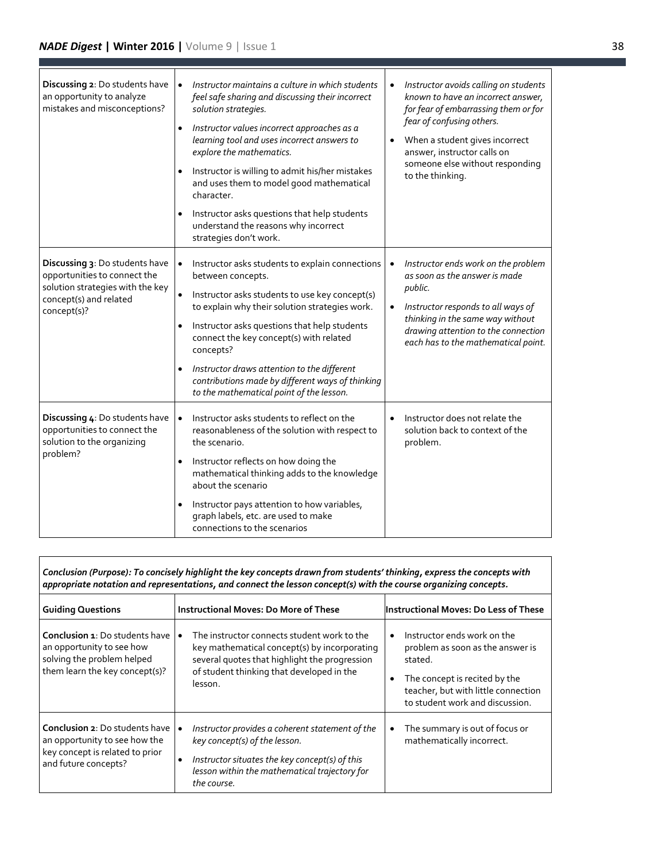ľ

| Discussing 2: Do students have<br>an opportunity to analyze<br>mistakes and misconceptions?                                                 | Instructor maintains a culture in which students<br>$\bullet$<br>feel safe sharing and discussing their incorrect<br>solution strategies.<br>Instructor values incorrect approaches as a<br>$\bullet$<br>learning tool and uses incorrect answers to<br>explore the mathematics.<br>Instructor is willing to admit his/her mistakes<br>and uses them to model good mathematical<br>character.<br>Instructor asks questions that help students<br>understand the reasons why incorrect<br>strategies don't work. | Instructor avoids calling on students<br>$\bullet$<br>known to have an incorrect answer,<br>for fear of embarrassing them or for<br>fear of confusing others.<br>When a student gives incorrect<br>answer, instructor calls on<br>someone else without responding<br>to the thinking. |
|---------------------------------------------------------------------------------------------------------------------------------------------|-----------------------------------------------------------------------------------------------------------------------------------------------------------------------------------------------------------------------------------------------------------------------------------------------------------------------------------------------------------------------------------------------------------------------------------------------------------------------------------------------------------------|---------------------------------------------------------------------------------------------------------------------------------------------------------------------------------------------------------------------------------------------------------------------------------------|
| Discussing 3: Do students have<br>opportunities to connect the<br>solution strategies with the key<br>concept(s) and related<br>concept(s)? | Instructor asks students to explain connections<br>$\bullet$<br>between concepts.<br>$\bullet$<br>Instructor asks students to use key concept(s)<br>to explain why their solution strategies work.<br>Instructor asks questions that help students<br>$\bullet$<br>connect the key concept(s) with related<br>concepts?<br>Instructor draws attention to the different<br>$\bullet$<br>contributions made by different ways of thinking<br>to the mathematical point of the lesson.                             | Instructor ends work on the problem<br>$\bullet$<br>as soon as the answer is made<br>public.<br>Instructor responds to all ways of<br>$\bullet$<br>thinking in the same way without<br>drawing attention to the connection<br>each has to the mathematical point.                     |
| Discussing 4: Do students have<br>opportunities to connect the<br>solution to the organizing<br>problem?                                    | Instructor asks students to reflect on the<br>$\bullet$<br>reasonableness of the solution with respect to<br>the scenario.<br>Instructor reflects on how doing the<br>$\bullet$<br>mathematical thinking adds to the knowledge<br>about the scenario<br>Instructor pays attention to how variables,<br>$\bullet$<br>graph labels, etc. are used to make<br>connections to the scenarios                                                                                                                         | Instructor does not relate the<br>solution back to context of the<br>problem.                                                                                                                                                                                                         |

| Conclusion (Purpose): To concisely highlight the key concepts drawn from students' thinking, express the concepts with<br>appropriate notation and representations, and connect the lesson concept(s) with the course organizing concepts. |                                                                                                                                                                                                         |                                                                                                                                                                                                    |  |
|--------------------------------------------------------------------------------------------------------------------------------------------------------------------------------------------------------------------------------------------|---------------------------------------------------------------------------------------------------------------------------------------------------------------------------------------------------------|----------------------------------------------------------------------------------------------------------------------------------------------------------------------------------------------------|--|
| <b>Guiding Questions</b>                                                                                                                                                                                                                   | <b>Instructional Moves: Do More of These</b>                                                                                                                                                            | Instructional Moves: Do Less of These                                                                                                                                                              |  |
| <b>Conclusion 1: Do students have</b><br>an opportunity to see how<br>solving the problem helped<br>them learn the key concept(s)?                                                                                                         | The instructor connects student work to the<br>key mathematical concept(s) by incorporating<br>several quotes that highlight the progression<br>of student thinking that developed in the<br>lesson.    | Instructor ends work on the<br>problem as soon as the answer is<br>stated.<br>The concept is recited by the<br>$\bullet$<br>teacher, but with little connection<br>to student work and discussion. |  |
| <b>Conclusion 2: Do students have lo</b><br>an opportunity to see how the<br>key concept is related to prior<br>and future concepts?                                                                                                       | Instructor provides a coherent statement of the<br>key concept(s) of the lesson.<br>Instructor situates the key concept(s) of this<br>٠<br>lesson within the mathematical trajectory for<br>the course. | The summary is out of focus or<br>$\bullet$<br>mathematically incorrect.                                                                                                                           |  |